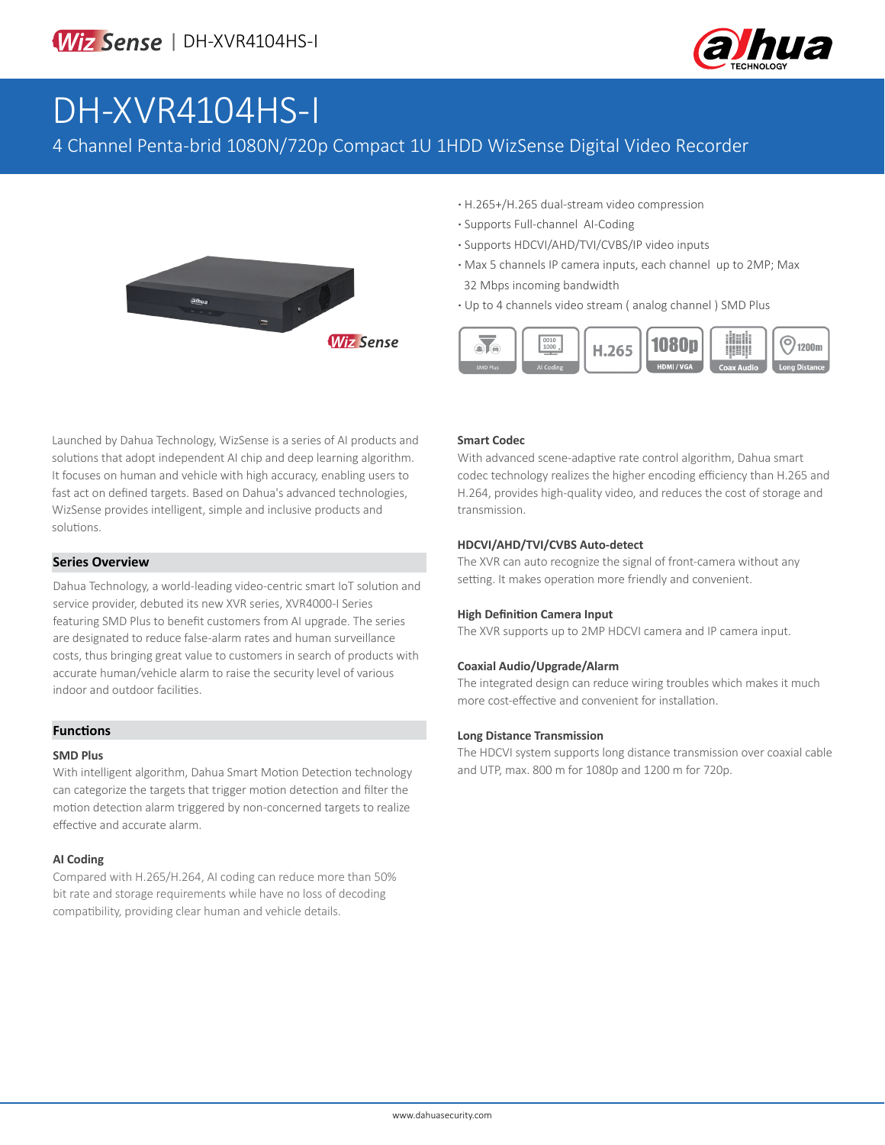

# DH-XVR4104HS-I

4 Channel Penta-brid 1080N/720p Compact 1U 1HDD WizSense Digital Video Recorder



- **·** H.265+/H.265 dual-stream video compression
- **·** Supports Full-channel AI-Coding
- **·** Supports HDCVI/AHD/TVI/CVBS/IP video inputs
- **·** Max 5 channels IP camera inputs, each channel up to 2MP; Max 32 Mbps incoming bandwidth
- **·** Up to 4 channels video stream ( analog channel ) SMD Plus



Launched by Dahua Technology, WizSense is a series of AI products and solutions that adopt independent AI chip and deep learning algorithm. It focuses on human and vehicle with high accuracy, enabling users to fast act on defined targets. Based on Dahua's advanced technologies, WizSense provides intelligent, simple and inclusive products and solutions.

#### **Series Overview**

Dahua Technology, a world-leading video-centric smart IoT solution and service provider, debuted its new XVR series, XVR4000-I Series featuring SMD Plus to benefit customers from AI upgrade. The series are designated to reduce false-alarm rates and human surveillance costs, thus bringing great value to customers in search of products with accurate human/vehicle alarm to raise the security level of various indoor and outdoor facilities.

### **Functions**

#### **SMD Plus**

With intelligent algorithm, Dahua Smart Motion Detection technology can categorize the targets that trigger motion detection and filter the motion detection alarm triggered by non-concerned targets to realize effective and accurate alarm.

#### **AI Coding**

Compared with H.265/H.264, AI coding can reduce more than 50% bit rate and storage requirements while have no loss of decoding compatibility, providing clear human and vehicle details.

#### **Smart Codec**

With advanced scene-adaptive rate control algorithm, Dahua smart codec technology realizes the higher encoding efficiency than H.265 and H.264, provides high-quality video, and reduces the cost of storage and transmission.

#### **HDCVI/AHD/TVI/CVBS Auto-detect**

The XVR can auto recognize the signal of front-camera without any setting. It makes operation more friendly and convenient.

#### **High Definition Camera Input**

The XVR supports up to 2MP HDCVI camera and IP camera input.

#### **Coaxial Audio/Upgrade/Alarm**

The integrated design can reduce wiring troubles which makes it much more cost-effective and convenient for installation.

#### **Long Distance Transmission**

The HDCVI system supports long distance transmission over coaxial cable and UTP, max. 800 m for 1080p and 1200 m for 720p.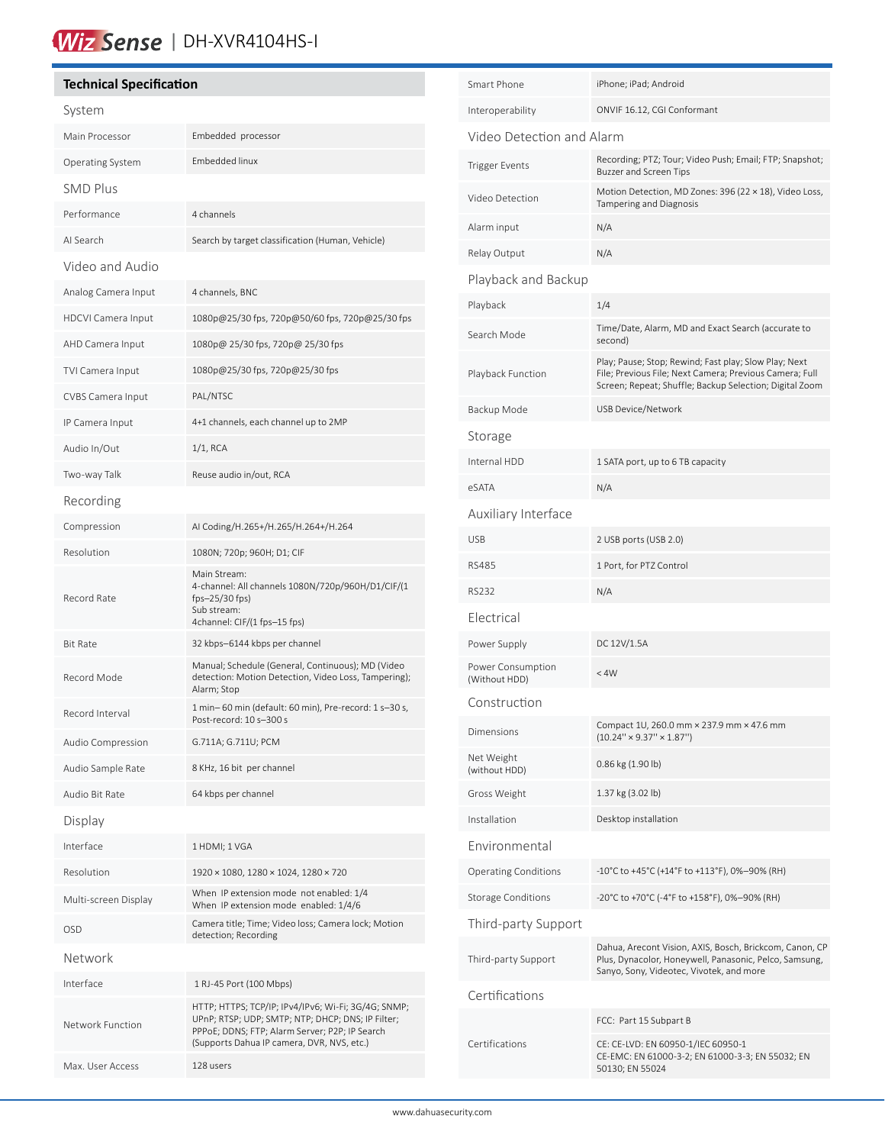# Wiz Sense | DH-XVR4104HS-I

## **Technical Specification** System Main Processor Embedded processor Operating System Embedded linux SMD Plus Performance 4 channels AI Search Search by target classification (Human, Vehicle) Video and Audio Analog Camera Input 4 channels, BNC HDCVI Camera Input 1080p@25/30 fps, 720p@50/60 fps, 720p@25/30 fps AHD Camera Input 1080p@ 25/30 fps, 720p@ 25/30 fps TVI Camera Input 1080p@25/30 fps, 720p@25/30 fps CVBS Camera Input PAL/NTSC IP Camera Input 4+1 channels, each channel up to 2MP Audio In/Out 1/1, RCA Two-way Talk Reuse audio in/out, RCA Recording Compression AI Coding/H.265+/H.265/H.264+/H.264 Resolution 1080N; 720p; 960H; D1; CIF Record Rate Main Stream: 4-channel: All channels 1080N/720p/960H/D1/CIF/(1 fps–25/30 fps) Sub stream: 4channel: CIF/(1 fps–15 fps) Bit Rate 32 kbps–6144 kbps per channel Record Mode Manual; Schedule (General, Continuous); MD (Video detection: Motion Detection, Video Loss, Tampering); Alarm; Stop Record Interval 1 min– 60 min (default: 60 min), Pre-record: 1 s–30 s, Post-record: 10 s–300 s Audio Compression G.711A; G.711U; PCM Audio Sample Rate 8 KHz, 16 bit per channel Audio Bit Rate 64 kbps per channel Display Interface 1 HDMI; 1 VGA Resolution 1920 × 1080, 1280 × 1024, 1280 × 720 When IP extension mode not enabled: 1/4<br>Multi-screen Display When IP extension mode anabled: 1/4/6 When IP extension mode enabled: 1/4/6 OSD Camera title; Time; Video loss; Camera lock; Motion detection; Recording Network Interface 1 RJ-45 Port (100 Mbps) Network Function HTTP; HTTPS; TCP/IP; IPv4/IPv6; Wi-Fi; 3G/4G; SNMP; UPnP; RTSP; UDP; SMTP; NTP; DHCP; DNS; IP Filter; PPPoE; DDNS; FTP; Alarm Server; P2P; IP Search (Supports Dahua IP camera, DVR, NVS, etc.) Max. User Access 128 users

| iPhone; iPad; Android                                                                                                                                                       |
|-----------------------------------------------------------------------------------------------------------------------------------------------------------------------------|
| ONVIF 16.12, CGI Conformant                                                                                                                                                 |
| Video Detection and Alarm                                                                                                                                                   |
| Recording; PTZ; Tour; Video Push; Email; FTP; Snapshot;<br><b>Buzzer and Screen Tips</b>                                                                                    |
| Motion Detection, MD Zones: 396 (22 × 18), Video Loss,<br>Tampering and Diagnosis                                                                                           |
| N/A                                                                                                                                                                         |
| N/A                                                                                                                                                                         |
|                                                                                                                                                                             |
| 1/4                                                                                                                                                                         |
| Time/Date, Alarm, MD and Exact Search (accurate to<br>second)                                                                                                               |
| Play; Pause; Stop; Rewind; Fast play; Slow Play; Next<br>File; Previous File; Next Camera; Previous Camera; Full<br>Screen; Repeat; Shuffle; Backup Selection; Digital Zoom |
| USB Device/Network                                                                                                                                                          |
|                                                                                                                                                                             |
| 1 SATA port, up to 6 TB capacity                                                                                                                                            |
| N/A                                                                                                                                                                         |
|                                                                                                                                                                             |
| 2 USB ports (USB 2.0)                                                                                                                                                       |
| 1 Port, for PTZ Control                                                                                                                                                     |
| N/A                                                                                                                                                                         |
|                                                                                                                                                                             |
| DC 12V/1.5A                                                                                                                                                                 |
| < 4W                                                                                                                                                                        |
|                                                                                                                                                                             |
| Compact 1U, 260.0 mm × 237.9 mm × 47.6 mm<br>$(10.24" \times 9.37" \times 1.87")$                                                                                           |
| 0.86 kg (1.90 lb)                                                                                                                                                           |
| 1.37 kg (3.02 lb)                                                                                                                                                           |
| Desktop installation                                                                                                                                                        |
|                                                                                                                                                                             |
| -10°C to +45°C (+14°F to +113°F), 0%-90% (RH)                                                                                                                               |
| -20°C to +70°C (-4°F to +158°F), 0%-90% (RH)                                                                                                                                |
|                                                                                                                                                                             |
| Dahua, Arecont Vision, AXIS, Bosch, Brickcom, Canon, CP<br>Plus, Dynacolor, Honeywell, Panasonic, Pelco, Samsung,<br>Sanyo, Sony, Videotec, Vivotek, and more               |
|                                                                                                                                                                             |
| FCC: Part 15 Subpart B                                                                                                                                                      |
| CE: CE-LVD: EN 60950-1/IEC 60950-1<br>CE-EMC: EN 61000-3-2; EN 61000-3-3; EN 55032; EN<br>50130; EN 55024                                                                   |
|                                                                                                                                                                             |